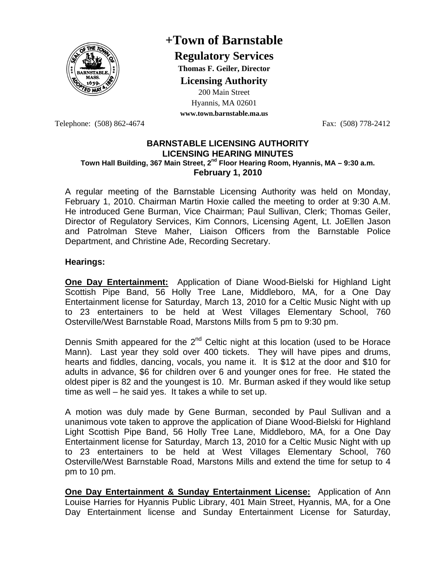

## **+Town of Barnstable**

**Regulatory Services**

**Thomas F. Geiler, Director** 

**Licensing Authority**

200 Main Street Hyannis, MA 02601 **www.town.barnstable.ma.us**

Telephone: (508) 862-4674 Fax: (508) 778-2412

## **BARNSTABLE LICENSING AUTHORITY LICENSING HEARING MINUTES Town Hall Building, 367 Main Street, 2nd Floor Hearing Room, Hyannis, MA – 9:30 a.m. February 1, 2010**

A regular meeting of the Barnstable Licensing Authority was held on Monday, February 1, 2010. Chairman Martin Hoxie called the meeting to order at 9:30 A.M. He introduced Gene Burman, Vice Chairman; Paul Sullivan, Clerk; Thomas Geiler, Director of Regulatory Services, Kim Connors, Licensing Agent, Lt. JoEllen Jason and Patrolman Steve Maher, Liaison Officers from the Barnstable Police Department, and Christine Ade, Recording Secretary.

## **Hearings:**

**One Day Entertainment:** Application of Diane Wood-Bielski for Highland Light Scottish Pipe Band, 56 Holly Tree Lane, Middleboro, MA, for a One Day Entertainment license for Saturday, March 13, 2010 for a Celtic Music Night with up to 23 entertainers to be held at West Villages Elementary School, 760 Osterville/West Barnstable Road, Marstons Mills from 5 pm to 9:30 pm.

Dennis Smith appeared for the  $2<sup>nd</sup>$  Celtic night at this location (used to be Horace Mann). Last year they sold over 400 tickets. They will have pipes and drums, hearts and fiddles, dancing, vocals, you name it. It is \$12 at the door and \$10 for adults in advance, \$6 for children over 6 and younger ones for free. He stated the oldest piper is 82 and the youngest is 10. Mr. Burman asked if they would like setup time as well – he said yes. It takes a while to set up.

A motion was duly made by Gene Burman, seconded by Paul Sullivan and a unanimous vote taken to approve the application of Diane Wood-Bielski for Highland Light Scottish Pipe Band, 56 Holly Tree Lane, Middleboro, MA, for a One Day Entertainment license for Saturday, March 13, 2010 for a Celtic Music Night with up to 23 entertainers to be held at West Villages Elementary School, 760 Osterville/West Barnstable Road, Marstons Mills and extend the time for setup to 4 pm to 10 pm.

**One Day Entertainment & Sunday Entertainment License:** Application of Ann Louise Harries for Hyannis Public Library, 401 Main Street, Hyannis, MA, for a One Day Entertainment license and Sunday Entertainment License for Saturday,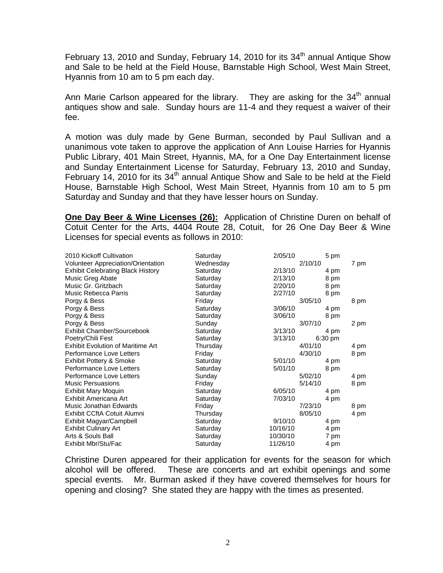February 13, 2010 and Sunday, February 14, 2010 for its  $34<sup>th</sup>$  annual Antique Show and Sale to be held at the Field House, Barnstable High School, West Main Street, Hyannis from 10 am to 5 pm each day.

Ann Marie Carlson appeared for the library. They are asking for the  $34<sup>th</sup>$  annual antiques show and sale. Sunday hours are 11-4 and they request a waiver of their fee.

A motion was duly made by Gene Burman, seconded by Paul Sullivan and a unanimous vote taken to approve the application of Ann Louise Harries for Hyannis Public Library, 401 Main Street, Hyannis, MA, for a One Day Entertainment license and Sunday Entertainment License for Saturday, February 13, 2010 and Sunday, February 14, 2010 for its  $34<sup>th</sup>$  annual Antique Show and Sale to be held at the Field House, Barnstable High School, West Main Street, Hyannis from 10 am to 5 pm Saturday and Sunday and that they have lesser hours on Sunday.

**One Day Beer & Wine Licenses (26):** Application of Christine Duren on behalf of Cotuit Center for the Arts, 4404 Route 28, Cotuit, for 26 One Day Beer & Wine Licenses for special events as follows in 2010:

| 2010 Kickoff Cultivation                 | Saturday  | 2/05/10  | 5 pm      |      |
|------------------------------------------|-----------|----------|-----------|------|
| Volunteer Appreciation/Orientation       | Wednesday |          | 2/10/10   | 7 pm |
| <b>Exhibit Celebrating Black History</b> | Saturday  | 2/13/10  | 4 pm      |      |
| Music Greg Abate                         | Saturday  | 2/13/10  | 8 pm      |      |
| Music Gr. Gritzbach                      | Saturday  | 2/20/10  | 8 pm      |      |
| Music Rebecca Parris                     | Saturday  | 2/27/10  | 8 pm      |      |
| Porgy & Bess                             | Friday    |          | 3/05/10   | 8 pm |
| Porgy & Bess                             | Saturday  | 3/06/10  | 4 pm      |      |
| Porgy & Bess                             | Saturday  | 3/06/10  | 8 pm      |      |
| Porgy & Bess                             | Sunday    |          | 3/07/10   | 2 pm |
| Exhibit Chamber/Sourcebook               | Saturday  | 3/13/10  | 4 pm      |      |
| Poetry/Chili Fest                        | Saturday  | 3/13/10  | $6:30$ pm |      |
| <b>Exhibit Evolution of Maritime Art</b> | Thursday  |          | 4/01/10   | 4 pm |
| Performance Love Letters                 | Friday    |          | 4/30/10   | 8 pm |
| Exhibit Pottery & Smoke                  | Saturday  | 5/01/10  | 4 pm      |      |
| Performance Love Letters                 | Saturday  | 5/01/10  | 8 pm      |      |
| Performance Love Letters                 | Sunday    |          | 5/02/10   | 4 pm |
| <b>Music Persuasions</b>                 | Friday    |          | 5/14/10   | 8 pm |
| Exhibit Mary Moquin                      | Saturday  | 6/05/10  | 4 pm      |      |
| Exhibit Americana Art                    | Saturday  | 7/03/10  | 4 pm      |      |
| Music Jonathan Edwards                   | Friday    |          | 7/23/10   | 8 pm |
| Exhibit CCftA Cotuit Alumni              | Thursday  |          | 8/05/10   | 4 pm |
| Exhibit Magyar/Campbell                  | Saturday  | 9/10/10  | 4 pm      |      |
| <b>Exhibit Culinary Art</b>              | Saturday  | 10/16/10 | 4 pm      |      |
| Arts & Souls Ball                        | Saturday  | 10/30/10 | 7 pm      |      |
| Exhibit Mbr/Stu/Fac                      | Saturday  | 11/26/10 | 4 pm      |      |

Christine Duren appeared for their application for events for the season for which alcohol will be offered. These are concerts and art exhibit openings and some special events. Mr. Burman asked if they have covered themselves for hours for opening and closing? She stated they are happy with the times as presented.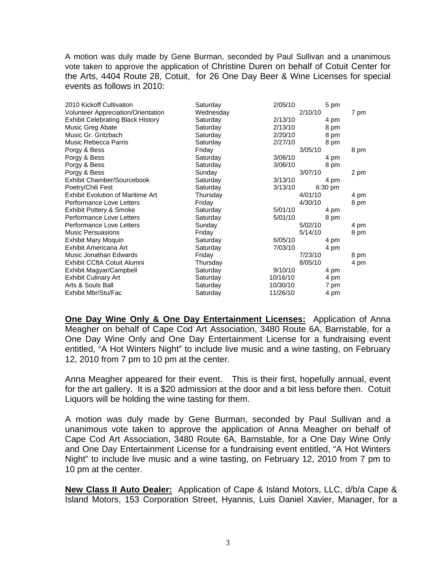A motion was duly made by Gene Burman, seconded by Paul Sullivan and a unanimous vote taken to approve the application of Christine Duren on behalf of Cotuit Center for the Arts, 4404 Route 28, Cotuit, for 26 One Day Beer & Wine Licenses for special events as follows in 2010:

| Saturday  | 2/05/10 | 5 pm                             |      |
|-----------|---------|----------------------------------|------|
| Wednesday |         | 2/10/10                          | 7 pm |
| Saturday  | 2/13/10 | 4 pm                             |      |
| Saturday  | 2/13/10 | 8 pm                             |      |
| Saturday  | 2/20/10 | 8 pm                             |      |
| Saturday  | 2/27/10 | 8 pm                             |      |
| Friday    |         | 3/05/10                          | 8 pm |
| Saturday  | 3/06/10 | 4 pm                             |      |
| Saturday  | 3/06/10 | 8 pm                             |      |
| Sunday    |         | 3/07/10                          | 2 pm |
| Saturday  | 3/13/10 | 4 pm                             |      |
| Saturday  | 3/13/10 | $6:30 \text{ pm}$                |      |
| Thursday  |         | 4/01/10                          | 4 pm |
| Friday    |         | 4/30/10                          | 8 pm |
| Saturday  | 5/01/10 | 4 pm                             |      |
| Saturday  | 5/01/10 | 8 pm                             |      |
| Sunday    |         | 5/02/10                          | 4 pm |
| Friday    |         | 5/14/10                          | 8 pm |
| Saturday  | 6/05/10 | 4 pm                             |      |
| Saturday  | 7/03/10 | 4 pm                             |      |
| Friday    |         | 7/23/10                          | 8 pm |
| Thursday  |         | 8/05/10                          | 4 pm |
| Saturday  | 9/10/10 | 4 pm                             |      |
| Saturday  |         | 4 pm                             |      |
| Saturday  |         | 7 pm                             |      |
| Saturday  |         | 4 pm                             |      |
|           |         | 10/16/10<br>10/30/10<br>11/26/10 |      |

**One Day Wine Only & One Day Entertainment Licenses:** Application of Anna Meagher on behalf of Cape Cod Art Association, 3480 Route 6A, Barnstable, for a One Day Wine Only and One Day Entertainment License for a fundraising event entitled, "A Hot Winters Night" to include live music and a wine tasting, on February 12, 2010 from 7 pm to 10 pm at the center.

Anna Meagher appeared for their event. This is their first, hopefully annual, event for the art gallery. It is a \$20 admission at the door and a bit less before then. Cotuit Liquors will be holding the wine tasting for them.

A motion was duly made by Gene Burman, seconded by Paul Sullivan and a unanimous vote taken to approve the application of Anna Meagher on behalf of Cape Cod Art Association, 3480 Route 6A, Barnstable, for a One Day Wine Only and One Day Entertainment License for a fundraising event entitled, "A Hot Winters Night" to include live music and a wine tasting, on February 12, 2010 from 7 pm to 10 pm at the center.

**New Class II Auto Dealer:** Application of Cape & Island Motors, LLC, d/b/a Cape & Island Motors, 153 Corporation Street, Hyannis, Luis Daniel Xavier, Manager, for a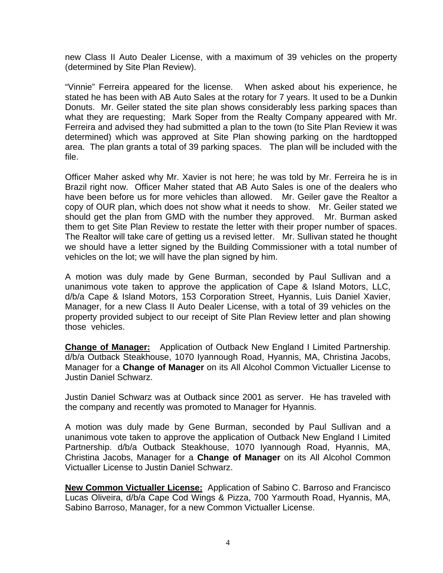new Class II Auto Dealer License, with a maximum of 39 vehicles on the property (determined by Site Plan Review).

"Vinnie" Ferreira appeared for the license. When asked about his experience, he stated he has been with AB Auto Sales at the rotary for 7 years. It used to be a Dunkin Donuts. Mr. Geiler stated the site plan shows considerably less parking spaces than what they are requesting; Mark Soper from the Realty Company appeared with Mr. Ferreira and advised they had submitted a plan to the town (to Site Plan Review it was determined) which was approved at Site Plan showing parking on the hardtopped area. The plan grants a total of 39 parking spaces. The plan will be included with the file.

Officer Maher asked why Mr. Xavier is not here; he was told by Mr. Ferreira he is in Brazil right now. Officer Maher stated that AB Auto Sales is one of the dealers who have been before us for more vehicles than allowed. Mr. Geiler gave the Realtor a copy of OUR plan, which does not show what it needs to show. Mr. Geiler stated we should get the plan from GMD with the number they approved. Mr. Burman asked them to get Site Plan Review to restate the letter with their proper number of spaces. The Realtor will take care of getting us a revised letter. Mr. Sullivan stated he thought we should have a letter signed by the Building Commissioner with a total number of vehicles on the lot; we will have the plan signed by him.

A motion was duly made by Gene Burman, seconded by Paul Sullivan and a unanimous vote taken to approve the application of Cape & Island Motors, LLC, d/b/a Cape & Island Motors, 153 Corporation Street, Hyannis, Luis Daniel Xavier, Manager, for a new Class II Auto Dealer License, with a total of 39 vehicles on the property provided subject to our receipt of Site Plan Review letter and plan showing those vehicles.

**Change of Manager:** Application of Outback New England I Limited Partnership. d/b/a Outback Steakhouse, 1070 Iyannough Road, Hyannis, MA, Christina Jacobs, Manager for a **Change of Manager** on its All Alcohol Common Victualler License to Justin Daniel Schwarz.

Justin Daniel Schwarz was at Outback since 2001 as server. He has traveled with the company and recently was promoted to Manager for Hyannis.

A motion was duly made by Gene Burman, seconded by Paul Sullivan and a unanimous vote taken to approve the application of Outback New England I Limited Partnership. d/b/a Outback Steakhouse, 1070 Iyannough Road, Hyannis, MA, Christina Jacobs, Manager for a **Change of Manager** on its All Alcohol Common Victualler License to Justin Daniel Schwarz.

**New Common Victualler License:** Application of Sabino C. Barroso and Francisco Lucas Oliveira, d/b/a Cape Cod Wings & Pizza, 700 Yarmouth Road, Hyannis, MA, Sabino Barroso, Manager, for a new Common Victualler License.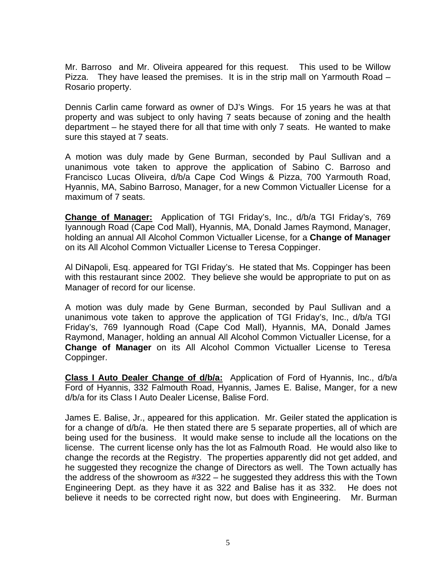Mr. Barroso and Mr. Oliveira appeared for this request. This used to be Willow Pizza. They have leased the premises. It is in the strip mall on Yarmouth Road – Rosario property.

Dennis Carlin came forward as owner of DJ's Wings. For 15 years he was at that property and was subject to only having 7 seats because of zoning and the health department – he stayed there for all that time with only 7 seats. He wanted to make sure this stayed at 7 seats.

A motion was duly made by Gene Burman, seconded by Paul Sullivan and a unanimous vote taken to approve the application of Sabino C. Barroso and Francisco Lucas Oliveira, d/b/a Cape Cod Wings & Pizza, 700 Yarmouth Road, Hyannis, MA, Sabino Barroso, Manager, for a new Common Victualler License for a maximum of 7 seats.

**Change of Manager:** Application of TGI Friday's, Inc., d/b/a TGI Friday's, 769 Iyannough Road (Cape Cod Mall), Hyannis, MA, Donald James Raymond, Manager, holding an annual All Alcohol Common Victualler License, for a **Change of Manager**  on its All Alcohol Common Victualler License to Teresa Coppinger.

Al DiNapoli, Esq. appeared for TGI Friday's. He stated that Ms. Coppinger has been with this restaurant since 2002. They believe she would be appropriate to put on as Manager of record for our license.

A motion was duly made by Gene Burman, seconded by Paul Sullivan and a unanimous vote taken to approve the application of TGI Friday's, Inc., d/b/a TGI Friday's, 769 Iyannough Road (Cape Cod Mall), Hyannis, MA, Donald James Raymond, Manager, holding an annual All Alcohol Common Victualler License, for a **Change of Manager** on its All Alcohol Common Victualler License to Teresa Coppinger.

**Class I Auto Dealer Change of d/b/a:** Application of Ford of Hyannis, Inc., d/b/a Ford of Hyannis, 332 Falmouth Road, Hyannis, James E. Balise, Manger, for a new d/b/a for its Class I Auto Dealer License, Balise Ford.

James E. Balise, Jr., appeared for this application. Mr. Geiler stated the application is for a change of d/b/a. He then stated there are 5 separate properties, all of which are being used for the business. It would make sense to include all the locations on the license. The current license only has the lot as Falmouth Road. He would also like to change the records at the Registry. The properties apparently did not get added, and he suggested they recognize the change of Directors as well. The Town actually has the address of the showroom as #322 – he suggested they address this with the Town Engineering Dept. as they have it as 322 and Balise has it as 332. He does not believe it needs to be corrected right now, but does with Engineering. Mr. Burman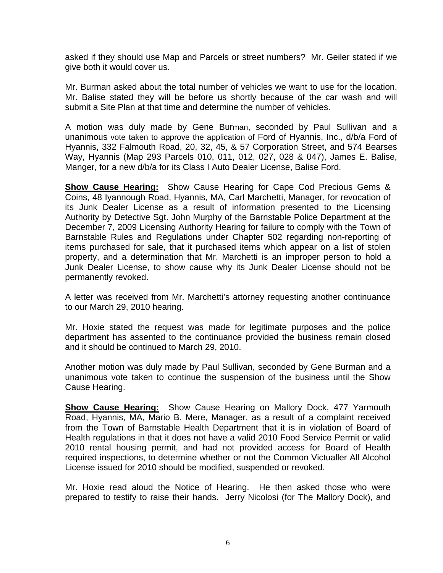asked if they should use Map and Parcels or street numbers? Mr. Geiler stated if we give both it would cover us.

Mr. Burman asked about the total number of vehicles we want to use for the location. Mr. Balise stated they will be before us shortly because of the car wash and will submit a Site Plan at that time and determine the number of vehicles.

A motion was duly made by Gene Burman, seconded by Paul Sullivan and a unanimous vote taken to approve the application of Ford of Hyannis, Inc., d/b/a Ford of Hyannis, 332 Falmouth Road, 20, 32, 45, & 57 Corporation Street, and 574 Bearses Way, Hyannis (Map 293 Parcels 010, 011, 012, 027, 028 & 047), James E. Balise, Manger, for a new d/b/a for its Class I Auto Dealer License, Balise Ford.

**Show Cause Hearing:** Show Cause Hearing for Cape Cod Precious Gems & Coins, 48 Iyannough Road, Hyannis, MA, Carl Marchetti, Manager, for revocation of its Junk Dealer License as a result of information presented to the Licensing Authority by Detective Sgt. John Murphy of the Barnstable Police Department at the December 7, 2009 Licensing Authority Hearing for failure to comply with the Town of Barnstable Rules and Regulations under Chapter 502 regarding non-reporting of items purchased for sale, that it purchased items which appear on a list of stolen property, and a determination that Mr. Marchetti is an improper person to hold a Junk Dealer License, to show cause why its Junk Dealer License should not be permanently revoked.

A letter was received from Mr. Marchetti's attorney requesting another continuance to our March 29, 2010 hearing.

Mr. Hoxie stated the request was made for legitimate purposes and the police department has assented to the continuance provided the business remain closed and it should be continued to March 29, 2010.

Another motion was duly made by Paul Sullivan, seconded by Gene Burman and a unanimous vote taken to continue the suspension of the business until the Show Cause Hearing.

**Show Cause Hearing:** Show Cause Hearing on Mallory Dock, 477 Yarmouth Road, Hyannis, MA, Mario B. Mere, Manager, as a result of a complaint received from the Town of Barnstable Health Department that it is in violation of Board of Health regulations in that it does not have a valid 2010 Food Service Permit or valid 2010 rental housing permit, and had not provided access for Board of Health required inspections, to determine whether or not the Common Victualler All Alcohol License issued for 2010 should be modified, suspended or revoked.

Mr. Hoxie read aloud the Notice of Hearing. He then asked those who were prepared to testify to raise their hands. Jerry Nicolosi (for The Mallory Dock), and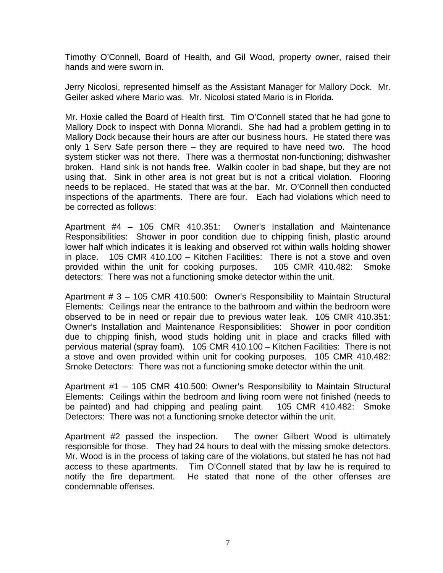Timothy O'Connell, Board of Health, and Gil Wood, property owner, raised their hands and were sworn in.

Jerry Nicolosi, represented himself as the Assistant Manager for Mallory Dock. Mr. Geiler asked where Mario was. Mr. Nicolosi stated Mario is in Florida.

Mr. Hoxie called the Board of Health first. Tim O'Connell stated that he had gone to Mallory Dock to inspect with Donna Miorandi. She had had a problem getting in to Mallory Dock because their hours are after our business hours. He stated there was only 1 Serv Safe person there – they are required to have need two. The hood system sticker was not there. There was a thermostat non-functioning; dishwasher broken. Hand sink is not hands free. Walkin cooler in bad shape, but they are not using that. Sink in other area is not great but is not a critical violation. Flooring needs to be replaced. He stated that was at the bar. Mr. O'Connell then conducted inspections of the apartments. There are four. Each had violations which need to be corrected as follows:

Apartment #4 – 105 CMR 410.351: Owner's Installation and Maintenance Responsibilities: Shower in poor condition due to chipping finish, plastic around lower half which indicates it is leaking and observed rot within walls holding shower in place. 105 CMR 410.100 – Kitchen Facilities: There is not a stove and oven provided within the unit for cooking purposes. 105 CMR 410.482: Smoke detectors: There was not a functioning smoke detector within the unit.

Apartment # 3 – 105 CMR 410.500: Owner's Responsibility to Maintain Structural Elements: Ceilings near the entrance to the bathroom and within the bedroom were observed to be in need or repair due to previous water leak. 105 CMR 410.351: Owner's Installation and Maintenance Responsibilities: Shower in poor condition due to chipping finish, wood studs holding unit in place and cracks filled with pervious material (spray foam). 105 CMR 410.100 – Kitchen Facilities: There is not a stove and oven provided within unit for cooking purposes. 105 CMR 410.482: Smoke Detectors: There was not a functioning smoke detector within the unit.

Apartment #1 – 105 CMR 410.500: Owner's Responsibility to Maintain Structural Elements: Ceilings within the bedroom and living room were not finished (needs to be painted) and had chipping and pealing paint. 105 CMR 410.482: Smoke Detectors: There was not a functioning smoke detector within the unit.

Apartment #2 passed the inspection. The owner Gilbert Wood is ultimately responsible for those. They had 24 hours to deal with the missing smoke detectors. Mr. Wood is in the process of taking care of the violations, but stated he has not had access to these apartments. Tim O'Connell stated that by law he is required to notify the fire department. He stated that none of the other offenses are condemnable offenses.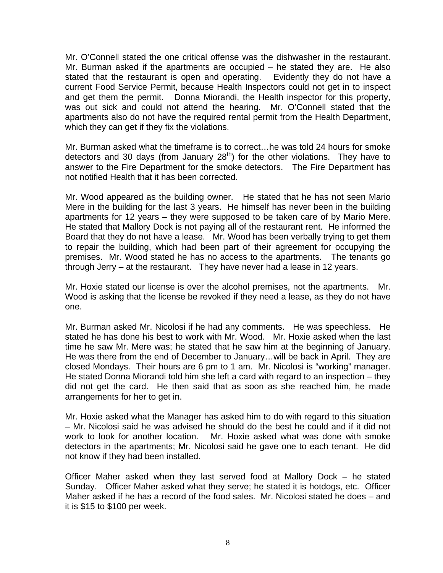Mr. O'Connell stated the one critical offense was the dishwasher in the restaurant. Mr. Burman asked if the apartments are occupied – he stated they are. He also stated that the restaurant is open and operating. Evidently they do not have a current Food Service Permit, because Health Inspectors could not get in to inspect and get them the permit. Donna Miorandi, the Health inspector for this property, was out sick and could not attend the hearing. Mr. O'Connell stated that the apartments also do not have the required rental permit from the Health Department, which they can get if they fix the violations.

Mr. Burman asked what the timeframe is to correct…he was told 24 hours for smoke detectors and 30 days (from January  $28<sup>th</sup>$ ) for the other violations. They have to answer to the Fire Department for the smoke detectors. The Fire Department has not notified Health that it has been corrected.

Mr. Wood appeared as the building owner. He stated that he has not seen Mario Mere in the building for the last 3 years. He himself has never been in the building apartments for 12 years – they were supposed to be taken care of by Mario Mere. He stated that Mallory Dock is not paying all of the restaurant rent. He informed the Board that they do not have a lease. Mr. Wood has been verbally trying to get them to repair the building, which had been part of their agreement for occupying the premises. Mr. Wood stated he has no access to the apartments. The tenants go through Jerry – at the restaurant. They have never had a lease in 12 years.

Mr. Hoxie stated our license is over the alcohol premises, not the apartments. Mr. Wood is asking that the license be revoked if they need a lease, as they do not have one.

Mr. Burman asked Mr. Nicolosi if he had any comments. He was speechless. He stated he has done his best to work with Mr. Wood. Mr. Hoxie asked when the last time he saw Mr. Mere was; he stated that he saw him at the beginning of January. He was there from the end of December to January…will be back in April. They are closed Mondays. Their hours are 6 pm to 1 am. Mr. Nicolosi is "working" manager. He stated Donna Miorandi told him she left a card with regard to an inspection – they did not get the card. He then said that as soon as she reached him, he made arrangements for her to get in.

Mr. Hoxie asked what the Manager has asked him to do with regard to this situation – Mr. Nicolosi said he was advised he should do the best he could and if it did not work to look for another location. Mr. Hoxie asked what was done with smoke detectors in the apartments; Mr. Nicolosi said he gave one to each tenant. He did not know if they had been installed.

Officer Maher asked when they last served food at Mallory Dock – he stated Sunday. Officer Maher asked what they serve; he stated it is hotdogs, etc. Officer Maher asked if he has a record of the food sales. Mr. Nicolosi stated he does – and it is \$15 to \$100 per week.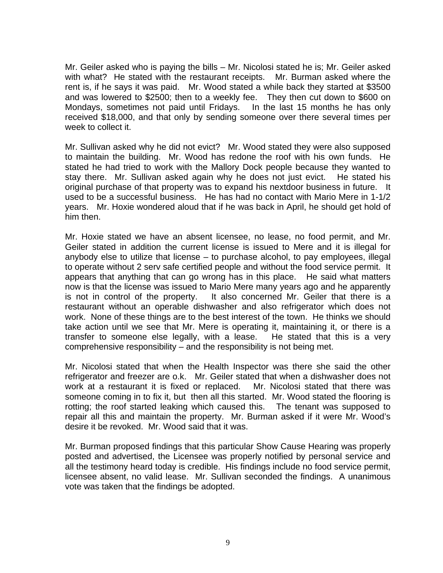Mr. Geiler asked who is paying the bills – Mr. Nicolosi stated he is; Mr. Geiler asked with what? He stated with the restaurant receipts. Mr. Burman asked where the rent is, if he says it was paid. Mr. Wood stated a while back they started at \$3500 and was lowered to \$2500; then to a weekly fee. They then cut down to \$600 on Mondays, sometimes not paid until Fridays. In the last 15 months he has only received \$18,000, and that only by sending someone over there several times per week to collect it.

Mr. Sullivan asked why he did not evict? Mr. Wood stated they were also supposed to maintain the building. Mr. Wood has redone the roof with his own funds. He stated he had tried to work with the Mallory Dock people because they wanted to stay there. Mr. Sullivan asked again why he does not just evict. He stated his original purchase of that property was to expand his nextdoor business in future. It used to be a successful business. He has had no contact with Mario Mere in 1-1/2 years. Mr. Hoxie wondered aloud that if he was back in April, he should get hold of him then.

Mr. Hoxie stated we have an absent licensee, no lease, no food permit, and Mr. Geiler stated in addition the current license is issued to Mere and it is illegal for anybody else to utilize that license – to purchase alcohol, to pay employees, illegal to operate without 2 serv safe certified people and without the food service permit. It appears that anything that can go wrong has in this place. He said what matters now is that the license was issued to Mario Mere many years ago and he apparently is not in control of the property. It also concerned Mr. Geiler that there is a restaurant without an operable dishwasher and also refrigerator which does not work. None of these things are to the best interest of the town. He thinks we should take action until we see that Mr. Mere is operating it, maintaining it, or there is a transfer to someone else legally, with a lease. He stated that this is a very comprehensive responsibility – and the responsibility is not being met.

Mr. Nicolosi stated that when the Health Inspector was there she said the other refrigerator and freezer are o.k. Mr. Geiler stated that when a dishwasher does not work at a restaurant it is fixed or replaced. Mr. Nicolosi stated that there was someone coming in to fix it, but then all this started. Mr. Wood stated the flooring is rotting; the roof started leaking which caused this. The tenant was supposed to repair all this and maintain the property. Mr. Burman asked if it were Mr. Wood's desire it be revoked. Mr. Wood said that it was.

Mr. Burman proposed findings that this particular Show Cause Hearing was properly posted and advertised, the Licensee was properly notified by personal service and all the testimony heard today is credible. His findings include no food service permit, licensee absent, no valid lease. Mr. Sullivan seconded the findings. A unanimous vote was taken that the findings be adopted.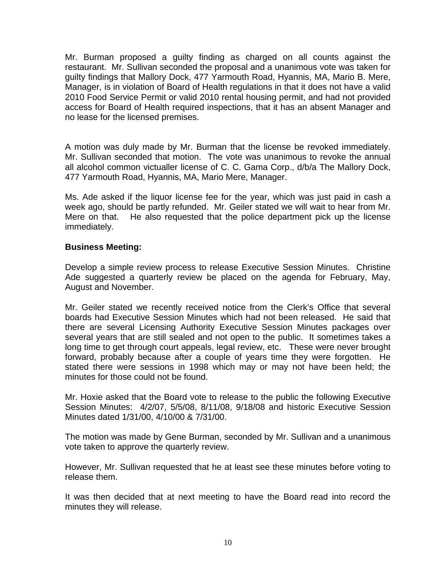Mr. Burman proposed a guilty finding as charged on all counts against the restaurant. Mr. Sullivan seconded the proposal and a unanimous vote was taken for guilty findings that Mallory Dock, 477 Yarmouth Road, Hyannis, MA, Mario B. Mere, Manager, is in violation of Board of Health regulations in that it does not have a valid 2010 Food Service Permit or valid 2010 rental housing permit, and had not provided access for Board of Health required inspections, that it has an absent Manager and no lease for the licensed premises.

A motion was duly made by Mr. Burman that the license be revoked immediately. Mr. Sullivan seconded that motion. The vote was unanimous to revoke the annual all alcohol common victualler license of C. C. Gama Corp., d/b/a The Mallory Dock, 477 Yarmouth Road, Hyannis, MA, Mario Mere, Manager.

Ms. Ade asked if the liquor license fee for the year, which was just paid in cash a week ago, should be partly refunded. Mr. Geiler stated we will wait to hear from Mr. Mere on that. He also requested that the police department pick up the license immediately.

## **Business Meeting:**

Develop a simple review process to release Executive Session Minutes. Christine Ade suggested a quarterly review be placed on the agenda for February, May, August and November.

Mr. Geiler stated we recently received notice from the Clerk's Office that several boards had Executive Session Minutes which had not been released. He said that there are several Licensing Authority Executive Session Minutes packages over several years that are still sealed and not open to the public. It sometimes takes a long time to get through court appeals, legal review, etc. These were never brought forward, probably because after a couple of years time they were forgotten. He stated there were sessions in 1998 which may or may not have been held; the minutes for those could not be found.

Mr. Hoxie asked that the Board vote to release to the public the following Executive Session Minutes: 4/2/07, 5/5/08, 8/11/08, 9/18/08 and historic Executive Session Minutes dated 1/31/00, 4/10/00 & 7/31/00.

The motion was made by Gene Burman, seconded by Mr. Sullivan and a unanimous vote taken to approve the quarterly review.

However, Mr. Sullivan requested that he at least see these minutes before voting to release them.

It was then decided that at next meeting to have the Board read into record the minutes they will release.